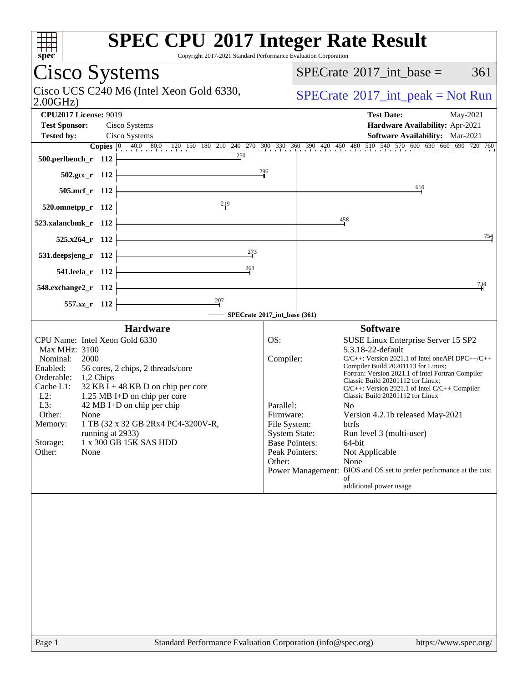| <b>SPEC CPU®2017 Integer Rate Result</b><br>$spec*$<br>Copyright 2017-2021 Standard Performance Evaluation Corporation                                                                                                                                                                                                                                                                                                                                          |                                                                      |                                                                                                                                                                                                                                                                                                                                                                                                                                                                                                                                                                                                                                                                     |
|-----------------------------------------------------------------------------------------------------------------------------------------------------------------------------------------------------------------------------------------------------------------------------------------------------------------------------------------------------------------------------------------------------------------------------------------------------------------|----------------------------------------------------------------------|---------------------------------------------------------------------------------------------------------------------------------------------------------------------------------------------------------------------------------------------------------------------------------------------------------------------------------------------------------------------------------------------------------------------------------------------------------------------------------------------------------------------------------------------------------------------------------------------------------------------------------------------------------------------|
| Cisco Systems                                                                                                                                                                                                                                                                                                                                                                                                                                                   |                                                                      | $SPECrate^{\circledast}2017\_int\_base =$<br>361                                                                                                                                                                                                                                                                                                                                                                                                                                                                                                                                                                                                                    |
| Cisco UCS C240 M6 (Intel Xeon Gold 6330,<br>2.00GHz                                                                                                                                                                                                                                                                                                                                                                                                             |                                                                      | $SPECrate^{\circledcirc}2017\_int\_peak = Not Run$                                                                                                                                                                                                                                                                                                                                                                                                                                                                                                                                                                                                                  |
| <b>CPU2017 License: 9019</b>                                                                                                                                                                                                                                                                                                                                                                                                                                    |                                                                      | <b>Test Date:</b><br>May-2021                                                                                                                                                                                                                                                                                                                                                                                                                                                                                                                                                                                                                                       |
| <b>Test Sponsor:</b><br>Cisco Systems                                                                                                                                                                                                                                                                                                                                                                                                                           |                                                                      | Hardware Availability: Apr-2021                                                                                                                                                                                                                                                                                                                                                                                                                                                                                                                                                                                                                                     |
| <b>Tested by:</b><br>Cisco Systems                                                                                                                                                                                                                                                                                                                                                                                                                              |                                                                      | <b>Software Availability:</b> Mar-2021                                                                                                                                                                                                                                                                                                                                                                                                                                                                                                                                                                                                                              |
| 250<br>500.perlbench_r 112                                                                                                                                                                                                                                                                                                                                                                                                                                      |                                                                      | <b>Copies</b> $\begin{bmatrix} 0 & 40.0 & 80.0 & 120 & 150 & 180 & 210 & 240 & 270 & 300 & 330 & 360 & 390 & 420 & 450 & 480 & 510 & 540 & 570 & 600 & 630 & 660 & 690 & 720 & 760 \end{bmatrix}$                                                                                                                                                                                                                                                                                                                                                                                                                                                                   |
| 502.gcc_r 112                                                                                                                                                                                                                                                                                                                                                                                                                                                   | 296                                                                  |                                                                                                                                                                                                                                                                                                                                                                                                                                                                                                                                                                                                                                                                     |
| 505.mcf_r 112                                                                                                                                                                                                                                                                                                                                                                                                                                                   |                                                                      | 610                                                                                                                                                                                                                                                                                                                                                                                                                                                                                                                                                                                                                                                                 |
| 219<br>520.omnetpp_r 112                                                                                                                                                                                                                                                                                                                                                                                                                                        |                                                                      |                                                                                                                                                                                                                                                                                                                                                                                                                                                                                                                                                                                                                                                                     |
| 523.xalancbmk_r 112                                                                                                                                                                                                                                                                                                                                                                                                                                             |                                                                      | $\frac{458}{1}$                                                                                                                                                                                                                                                                                                                                                                                                                                                                                                                                                                                                                                                     |
| 525.x264_r 112                                                                                                                                                                                                                                                                                                                                                                                                                                                  |                                                                      | 754                                                                                                                                                                                                                                                                                                                                                                                                                                                                                                                                                                                                                                                                 |
| 273<br>531.deepsjeng_r 112                                                                                                                                                                                                                                                                                                                                                                                                                                      |                                                                      |                                                                                                                                                                                                                                                                                                                                                                                                                                                                                                                                                                                                                                                                     |
| $\frac{268}{1}$<br>541.leela_r 112                                                                                                                                                                                                                                                                                                                                                                                                                              |                                                                      |                                                                                                                                                                                                                                                                                                                                                                                                                                                                                                                                                                                                                                                                     |
| 548.exchange2_r 112                                                                                                                                                                                                                                                                                                                                                                                                                                             |                                                                      | 734                                                                                                                                                                                                                                                                                                                                                                                                                                                                                                                                                                                                                                                                 |
| 557.xz_r 112                                                                                                                                                                                                                                                                                                                                                                                                                                                    |                                                                      |                                                                                                                                                                                                                                                                                                                                                                                                                                                                                                                                                                                                                                                                     |
| SPECrate®2017_int_base (361)                                                                                                                                                                                                                                                                                                                                                                                                                                    |                                                                      |                                                                                                                                                                                                                                                                                                                                                                                                                                                                                                                                                                                                                                                                     |
| <b>Hardware</b><br>CPU Name: Intel Xeon Gold 6330<br>Max MHz: 3100<br>2000<br>Nominal:<br>Enabled:<br>56 cores, 2 chips, 2 threads/core<br>Orderable:<br>1,2 Chips<br>$32$ KB I + 48 KB D on chip per core<br>Cache L1:<br>$L2$ :<br>1.25 MB I+D on chip per core<br>$42 \text{ MB I+D}$ on chip per chip<br>L3:<br>Other:<br>None<br>1 TB (32 x 32 GB 2Rx4 PC4-3200V-R,<br>Memory:<br>running at 2933)<br>1 x 300 GB 15K SAS HDD<br>Storage:<br>Other:<br>None | OS:<br>Compiler:<br>Parallel:<br>Firmware:<br>File System:<br>Other: | <b>Software</b><br>SUSE Linux Enterprise Server 15 SP2<br>5.3.18-22-default<br>$C/C++$ : Version 2021.1 of Intel one API DPC $++/C++$<br>Compiler Build 20201113 for Linux;<br>Fortran: Version 2021.1 of Intel Fortran Compiler<br>Classic Build 20201112 for Linux;<br>C/C++: Version 2021.1 of Intel C/C++ Compiler<br>Classic Build 20201112 for Linux<br>N <sub>0</sub><br>Version 4.2.1b released May-2021<br>btrfs<br><b>System State:</b><br>Run level 3 (multi-user)<br><b>Base Pointers:</b><br>64-bit<br>Peak Pointers:<br>Not Applicable<br>None<br>Power Management: BIOS and OS set to prefer performance at the cost<br>of<br>additional power usage |
|                                                                                                                                                                                                                                                                                                                                                                                                                                                                 |                                                                      |                                                                                                                                                                                                                                                                                                                                                                                                                                                                                                                                                                                                                                                                     |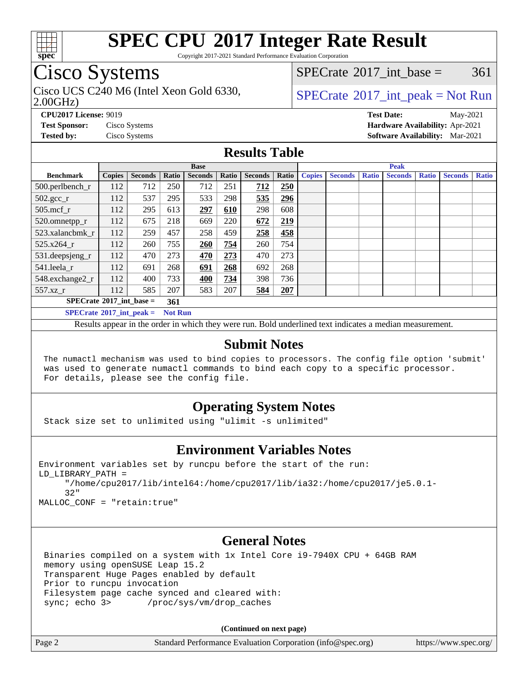

Copyright 2017-2021 Standard Performance Evaluation Corporation

## Cisco Systems

Cisco UCS C240 M6 (Intel Xeon Gold 6330,  $SPECTR = SPECrate \degree 2017$  $SPECTR = SPECrate \degree 2017$  $SPECTR = SPECrate \degree 2017$  int peak = Not Run

[SPECrate](http://www.spec.org/auto/cpu2017/Docs/result-fields.html#SPECrate2017intbase)<sup>®</sup>2017 int base =  $361$ 

### 2.00GHz)

**[Tested by:](http://www.spec.org/auto/cpu2017/Docs/result-fields.html#Testedby)** Cisco Systems **[Software Availability:](http://www.spec.org/auto/cpu2017/Docs/result-fields.html#SoftwareAvailability)** Mar-2021

**[CPU2017 License:](http://www.spec.org/auto/cpu2017/Docs/result-fields.html#CPU2017License)** 9019 **[Test Date:](http://www.spec.org/auto/cpu2017/Docs/result-fields.html#TestDate)** May-2021 **[Test Sponsor:](http://www.spec.org/auto/cpu2017/Docs/result-fields.html#TestSponsor)** Cisco Systems **[Hardware Availability:](http://www.spec.org/auto/cpu2017/Docs/result-fields.html#HardwareAvailability)** Apr-2021

**[Results Table](http://www.spec.org/auto/cpu2017/Docs/result-fields.html#ResultsTable)**

| <b>Base</b>                              |        |                |                | <b>Peak</b>    |       |                |       |               |                |              |                |              |                |              |
|------------------------------------------|--------|----------------|----------------|----------------|-------|----------------|-------|---------------|----------------|--------------|----------------|--------------|----------------|--------------|
| <b>Benchmark</b>                         | Copies | <b>Seconds</b> | Ratio          | <b>Seconds</b> | Ratio | <b>Seconds</b> | Ratio | <b>Copies</b> | <b>Seconds</b> | <b>Ratio</b> | <b>Seconds</b> | <b>Ratio</b> | <b>Seconds</b> | <b>Ratio</b> |
| 500.perlbench_r                          | 112    | 712            | 250            | 712            | 251   | 712            | 250   |               |                |              |                |              |                |              |
| $502.\text{gcc}_r$                       | 112    | 537            | 295            | 533            | 298   | 535            | 296   |               |                |              |                |              |                |              |
| $505$ .mcf r                             | 112    | 295            | 613            | 297            | 610   | 298            | 608   |               |                |              |                |              |                |              |
| 520.omnetpp_r                            | 112    | 675            | 218            | 669            | 220   | 672            | 219   |               |                |              |                |              |                |              |
| 523.xalancbmk r                          | 112    | 259            | 457            | 258            | 459   | 258            | 458   |               |                |              |                |              |                |              |
| 525.x264 r                               | 112    | 260            | 755            | 260            | 754   | 260            | 754   |               |                |              |                |              |                |              |
| $531.$ deepsjeng $_r$                    | 112    | 470            | 273            | 470            | 273   | 470            | 273   |               |                |              |                |              |                |              |
| 541.leela r                              | 112    | 691            | 268            | 691            | 268   | 692            | 268   |               |                |              |                |              |                |              |
| 548.exchange2 r                          | 112    | 400            | 733            | 400            | 734   | 398            | 736   |               |                |              |                |              |                |              |
| 557.xz r                                 | 112    | 585            | 207            | 583            | 207   | 584            | 207   |               |                |              |                |              |                |              |
| $SPECrate^{\circ}2017$ int base =<br>361 |        |                |                |                |       |                |       |               |                |              |                |              |                |              |
| $SPECrate^{\circ}2017$ int peak =        |        |                | <b>Not Run</b> |                |       |                |       |               |                |              |                |              |                |              |

Results appear in the [order in which they were run](http://www.spec.org/auto/cpu2017/Docs/result-fields.html#RunOrder). Bold underlined text [indicates a median measurement](http://www.spec.org/auto/cpu2017/Docs/result-fields.html#Median).

## **[Submit Notes](http://www.spec.org/auto/cpu2017/Docs/result-fields.html#SubmitNotes)**

 The numactl mechanism was used to bind copies to processors. The config file option 'submit' was used to generate numactl commands to bind each copy to a specific processor. For details, please see the config file.

## **[Operating System Notes](http://www.spec.org/auto/cpu2017/Docs/result-fields.html#OperatingSystemNotes)**

Stack size set to unlimited using "ulimit -s unlimited"

## **[Environment Variables Notes](http://www.spec.org/auto/cpu2017/Docs/result-fields.html#EnvironmentVariablesNotes)**

```
Environment variables set by runcpu before the start of the run:
LD_LIBRARY_PATH =
      "/home/cpu2017/lib/intel64:/home/cpu2017/lib/ia32:/home/cpu2017/je5.0.1-
      32"
```
MALLOC\_CONF = "retain:true"

## **[General Notes](http://www.spec.org/auto/cpu2017/Docs/result-fields.html#GeneralNotes)**

 Binaries compiled on a system with 1x Intel Core i9-7940X CPU + 64GB RAM memory using openSUSE Leap 15.2 Transparent Huge Pages enabled by default Prior to runcpu invocation Filesystem page cache synced and cleared with: sync; echo 3> /proc/sys/vm/drop\_caches

**(Continued on next page)**

| Page 2<br>Standard Performance Evaluation Corporation (info@spec.org) | https://www.spec.org/ |
|-----------------------------------------------------------------------|-----------------------|
|-----------------------------------------------------------------------|-----------------------|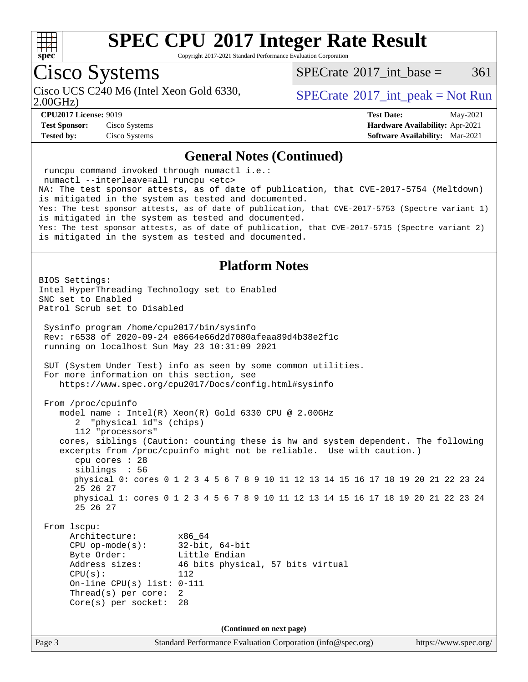

Copyright 2017-2021 Standard Performance Evaluation Corporation

## Cisco Systems

Cisco UCS C240 M6 (Intel Xeon Gold 6330,  $SPECTR = SPECrate \degree 2017$  $SPECTR = SPECrate \degree 2017$  $SPECTR = SPECrate \degree 2017$  int peak = Not Run

 $SPECTate^{\circ}2017$  int base = 361

2.00GHz)

**[Test Sponsor:](http://www.spec.org/auto/cpu2017/Docs/result-fields.html#TestSponsor)** Cisco Systems **[Hardware Availability:](http://www.spec.org/auto/cpu2017/Docs/result-fields.html#HardwareAvailability)** Apr-2021 **[Tested by:](http://www.spec.org/auto/cpu2017/Docs/result-fields.html#Testedby)** Cisco Systems **[Software Availability:](http://www.spec.org/auto/cpu2017/Docs/result-fields.html#SoftwareAvailability)** Mar-2021

**[CPU2017 License:](http://www.spec.org/auto/cpu2017/Docs/result-fields.html#CPU2017License)** 9019 **[Test Date:](http://www.spec.org/auto/cpu2017/Docs/result-fields.html#TestDate)** May-2021

### **[General Notes \(Continued\)](http://www.spec.org/auto/cpu2017/Docs/result-fields.html#GeneralNotes)**

 runcpu command invoked through numactl i.e.: numactl --interleave=all runcpu <etc> NA: The test sponsor attests, as of date of publication, that CVE-2017-5754 (Meltdown) is mitigated in the system as tested and documented. Yes: The test sponsor attests, as of date of publication, that CVE-2017-5753 (Spectre variant 1) is mitigated in the system as tested and documented. Yes: The test sponsor attests, as of date of publication, that CVE-2017-5715 (Spectre variant 2) is mitigated in the system as tested and documented. **[Platform Notes](http://www.spec.org/auto/cpu2017/Docs/result-fields.html#PlatformNotes)** BIOS Settings: Intel HyperThreading Technology set to Enabled SNC set to Enabled Patrol Scrub set to Disabled Sysinfo program /home/cpu2017/bin/sysinfo Rev: r6538 of 2020-09-24 e8664e66d2d7080afeaa89d4b38e2f1c running on localhost Sun May 23 10:31:09 2021 SUT (System Under Test) info as seen by some common utilities. For more information on this section, see <https://www.spec.org/cpu2017/Docs/config.html#sysinfo> From /proc/cpuinfo model name : Intel(R) Xeon(R) Gold 6330 CPU @ 2.00GHz 2 "physical id"s (chips) 112 "processors" cores, siblings (Caution: counting these is hw and system dependent. The following excerpts from /proc/cpuinfo might not be reliable. Use with caution.) cpu cores : 28 siblings : 56 physical 0: cores 0 1 2 3 4 5 6 7 8 9 10 11 12 13 14 15 16 17 18 19 20 21 22 23 24 25 26 27 physical 1: cores 0 1 2 3 4 5 6 7 8 9 10 11 12 13 14 15 16 17 18 19 20 21 22 23 24 25 26 27 From lscpu: Architecture: x86\_64 CPU op-mode(s): 32-bit, 64-bit Byte Order: Little Endian Address sizes: 46 bits physical, 57 bits virtual  $CPU(s):$  112 On-line CPU(s) list: 0-111 Thread(s) per core: 2 Core(s) per socket: 28 **(Continued on next page)**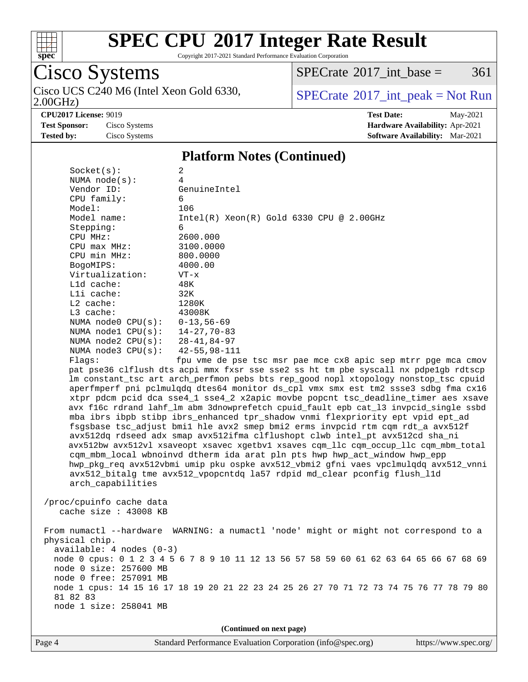

Copyright 2017-2021 Standard Performance Evaluation Corporation

# Cisco Systems

2.00GHz) Cisco UCS C240 M6 (Intel Xeon Gold 6330,  $\boxed{\text{SPECrate}^{\circ}2017\_int\_peak = Not Run}$  $\boxed{\text{SPECrate}^{\circ}2017\_int\_peak = Not Run}$  $\boxed{\text{SPECrate}^{\circ}2017\_int\_peak = Not Run}$ 

 $SPECTate$ <sup>®</sup>[2017\\_int\\_base =](http://www.spec.org/auto/cpu2017/Docs/result-fields.html#SPECrate2017intbase) 361

**[Tested by:](http://www.spec.org/auto/cpu2017/Docs/result-fields.html#Testedby)** Cisco Systems **[Software Availability:](http://www.spec.org/auto/cpu2017/Docs/result-fields.html#SoftwareAvailability)** Mar-2021

**[CPU2017 License:](http://www.spec.org/auto/cpu2017/Docs/result-fields.html#CPU2017License)** 9019 **[Test Date:](http://www.spec.org/auto/cpu2017/Docs/result-fields.html#TestDate)** May-2021 **[Test Sponsor:](http://www.spec.org/auto/cpu2017/Docs/result-fields.html#TestSponsor)** Cisco Systems **[Hardware Availability:](http://www.spec.org/auto/cpu2017/Docs/result-fields.html#HardwareAvailability)** Apr-2021

### **[Platform Notes \(Continued\)](http://www.spec.org/auto/cpu2017/Docs/result-fields.html#PlatformNotes)**

| Socket(s):                                                                              | 2                                                                                                                                                                 |  |  |  |  |
|-----------------------------------------------------------------------------------------|-------------------------------------------------------------------------------------------------------------------------------------------------------------------|--|--|--|--|
| NUMA $node(s):$                                                                         | 4                                                                                                                                                                 |  |  |  |  |
| Vendor ID:                                                                              | GenuineIntel                                                                                                                                                      |  |  |  |  |
| CPU family:                                                                             | 6                                                                                                                                                                 |  |  |  |  |
| Model:                                                                                  | 106                                                                                                                                                               |  |  |  |  |
| Model name:                                                                             | $Intel(R) Xeon(R) Gold 6330 CPU @ 2.00GHz$                                                                                                                        |  |  |  |  |
| Stepping:                                                                               | 6                                                                                                                                                                 |  |  |  |  |
| CPU MHz:                                                                                | 2600.000                                                                                                                                                          |  |  |  |  |
| CPU max MHz:                                                                            | 3100.0000                                                                                                                                                         |  |  |  |  |
| CPU min MHz:                                                                            | 800.0000                                                                                                                                                          |  |  |  |  |
| BogoMIPS:                                                                               | 4000.00                                                                                                                                                           |  |  |  |  |
| Virtualization:                                                                         | $VT - x$                                                                                                                                                          |  |  |  |  |
| L1d cache:                                                                              | 48K                                                                                                                                                               |  |  |  |  |
| Lli cache:                                                                              | 32K                                                                                                                                                               |  |  |  |  |
| $L2$ cache:                                                                             | 1280K                                                                                                                                                             |  |  |  |  |
| $L3$ cache:                                                                             | 43008K                                                                                                                                                            |  |  |  |  |
| NUMA node0 CPU(s):                                                                      | $0 - 13,56 - 69$                                                                                                                                                  |  |  |  |  |
| NUMA $model$ $CPU(s):$                                                                  | 14-27,70-83                                                                                                                                                       |  |  |  |  |
| NUMA $node2$ $CPU(s):$                                                                  | 28-41,84-97                                                                                                                                                       |  |  |  |  |
| NUMA $node3$ CPU $(s)$ :                                                                | $42 - 55, 98 - 111$                                                                                                                                               |  |  |  |  |
| Flags:                                                                                  | fpu vme de pse tsc msr pae mce cx8 apic sep mtrr pge mca cmov                                                                                                     |  |  |  |  |
|                                                                                         | pat pse36 clflush dts acpi mmx fxsr sse sse2 ss ht tm pbe syscall nx pdpelgb rdtscp                                                                               |  |  |  |  |
|                                                                                         | lm constant_tsc art arch_perfmon pebs bts rep_good nopl xtopology nonstop_tsc cpuid                                                                               |  |  |  |  |
|                                                                                         | aperfmperf pni pclmulqdq dtes64 monitor ds_cpl vmx smx est tm2 ssse3 sdbg fma cx16                                                                                |  |  |  |  |
|                                                                                         | xtpr pdcm pcid dca sse4_1 sse4_2 x2apic movbe popcnt tsc_deadline_timer aes xsave                                                                                 |  |  |  |  |
|                                                                                         | avx f16c rdrand lahf_lm abm 3dnowprefetch cpuid_fault epb cat_13 invpcid_single ssbd                                                                              |  |  |  |  |
|                                                                                         | mba ibrs ibpb stibp ibrs_enhanced tpr_shadow vnmi flexpriority ept vpid ept_ad                                                                                    |  |  |  |  |
|                                                                                         | fsgsbase tsc_adjust bmil hle avx2 smep bmi2 erms invpcid rtm cqm rdt_a avx512f<br>avx512dq rdseed adx smap avx512ifma clflushopt clwb intel_pt avx512cd sha_ni    |  |  |  |  |
|                                                                                         |                                                                                                                                                                   |  |  |  |  |
|                                                                                         | avx512bw avx512vl xsaveopt xsavec xgetbvl xsaves cqm_llc cqm_occup_llc cqm_mbm_total<br>cqm_mbm_local wbnoinvd dtherm ida arat pln pts hwp hwp_act_window hwp_epp |  |  |  |  |
|                                                                                         | hwp_pkg_req avx512vbmi umip pku ospke avx512_vbmi2 gfni vaes vpclmulqdq avx512_vnni                                                                               |  |  |  |  |
|                                                                                         | avx512_bitalg tme avx512_vpopcntdq la57 rdpid md_clear pconfig flush_l1d                                                                                          |  |  |  |  |
| arch_capabilities                                                                       |                                                                                                                                                                   |  |  |  |  |
|                                                                                         |                                                                                                                                                                   |  |  |  |  |
| /proc/cpuinfo cache data                                                                |                                                                                                                                                                   |  |  |  |  |
| cache size $: 43008$ KB                                                                 |                                                                                                                                                                   |  |  |  |  |
|                                                                                         |                                                                                                                                                                   |  |  |  |  |
|                                                                                         | From numactl --hardware WARNING: a numactl 'node' might or might not correspond to a                                                                              |  |  |  |  |
| physical chip.                                                                          |                                                                                                                                                                   |  |  |  |  |
| $available: 4 nodes (0-3)$                                                              |                                                                                                                                                                   |  |  |  |  |
| node 0 cpus: 0 1 2 3 4 5 6 7 8 9 10 11 12 13 56 57 58 59 60 61 62 63 64 65 66 67 68 69  |                                                                                                                                                                   |  |  |  |  |
| node 0 size: 257600 MB                                                                  |                                                                                                                                                                   |  |  |  |  |
| node 0 free: 257091 MB                                                                  |                                                                                                                                                                   |  |  |  |  |
| node 1 cpus: 14 15 16 17 18 19 20 21 22 23 24 25 26 27 70 71 72 73 74 75 76 77 78 79 80 |                                                                                                                                                                   |  |  |  |  |
| 81 82 83                                                                                |                                                                                                                                                                   |  |  |  |  |
| node 1 size: 258041 MB                                                                  |                                                                                                                                                                   |  |  |  |  |
|                                                                                         |                                                                                                                                                                   |  |  |  |  |
| (Continued on next page)                                                                |                                                                                                                                                                   |  |  |  |  |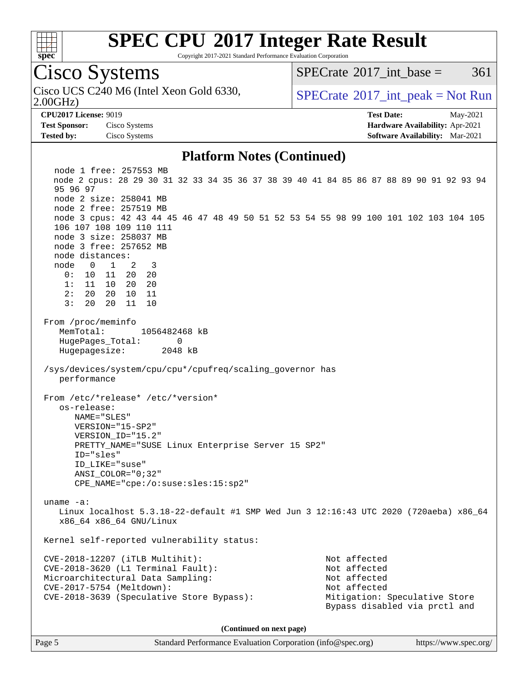

Copyright 2017-2021 Standard Performance Evaluation Corporation

## Cisco Systems

2.00GHz) Cisco UCS C240 M6 (Intel Xeon Gold 6330,  $SPECrate^{\circ}2017\_int\_peak = Not Run$  $SPECrate^{\circ}2017\_int\_peak = Not Run$ 

 $SPECTate^{\circ}2017$  int base = 361

**[Test Sponsor:](http://www.spec.org/auto/cpu2017/Docs/result-fields.html#TestSponsor)** Cisco Systems **[Hardware Availability:](http://www.spec.org/auto/cpu2017/Docs/result-fields.html#HardwareAvailability)** Apr-2021 **[Tested by:](http://www.spec.org/auto/cpu2017/Docs/result-fields.html#Testedby)** Cisco Systems **[Software Availability:](http://www.spec.org/auto/cpu2017/Docs/result-fields.html#SoftwareAvailability)** Mar-2021

**[CPU2017 License:](http://www.spec.org/auto/cpu2017/Docs/result-fields.html#CPU2017License)** 9019 **[Test Date:](http://www.spec.org/auto/cpu2017/Docs/result-fields.html#TestDate)** May-2021

### **[Platform Notes \(Continued\)](http://www.spec.org/auto/cpu2017/Docs/result-fields.html#PlatformNotes)**

 node 1 free: 257553 MB node 2 cpus: 28 29 30 31 32 33 34 35 36 37 38 39 40 41 84 85 86 87 88 89 90 91 92 93 94 95 96 97 node 2 size: 258041 MB node 2 free: 257519 MB node 3 cpus: 42 43 44 45 46 47 48 49 50 51 52 53 54 55 98 99 100 101 102 103 104 105 106 107 108 109 110 111 node 3 size: 258037 MB node 3 free: 257652 MB node distances: node 0 1 2 3 0: 10 11 20 20 1: 11 10 20 20 2: 20 20 10 11 3: 20 20 11 10 From /proc/meminfo MemTotal: 1056482468 kB HugePages\_Total: 0 Hugepagesize: 2048 kB /sys/devices/system/cpu/cpu\*/cpufreq/scaling\_governor has performance From /etc/\*release\* /etc/\*version\* os-release: NAME="SLES" VERSION="15-SP2" VERSION\_ID="15.2" PRETTY\_NAME="SUSE Linux Enterprise Server 15 SP2" ID="sles" ID\_LIKE="suse" ANSI\_COLOR="0;32" CPE\_NAME="cpe:/o:suse:sles:15:sp2" uname -a: Linux localhost 5.3.18-22-default #1 SMP Wed Jun 3 12:16:43 UTC 2020 (720aeba) x86\_64 x86\_64 x86\_64 GNU/Linux Kernel self-reported vulnerability status: CVE-2018-12207 (iTLB Multihit): Not affected CVE-2018-3620 (L1 Terminal Fault): Not affected Microarchitectural Data Sampling: Not affected CVE-2017-5754 (Meltdown): Not affected CVE-2018-3639 (Speculative Store Bypass): Mitigation: Speculative Store Bypass disabled via prctl and **(Continued on next page)**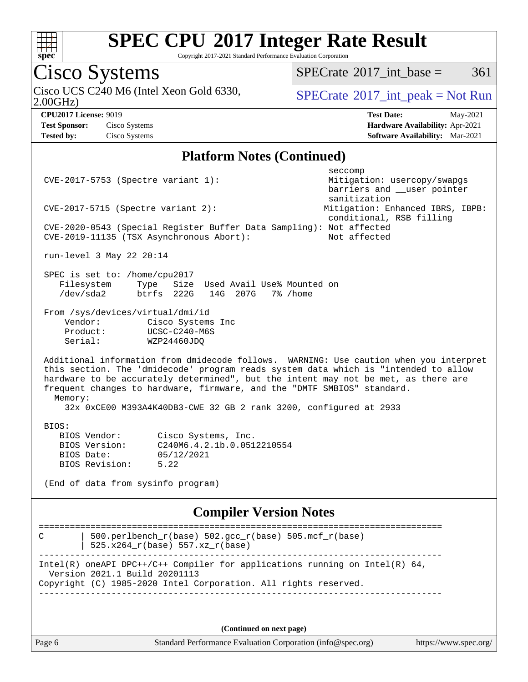

Copyright 2017-2021 Standard Performance Evaluation Corporation

# Cisco Systems

Cisco UCS C240 M6 (Intel Xeon Gold 6330,  $\boxed{\text{SPECrate}^{\circ}2017\_int\_peak = Not Run}$  $\boxed{\text{SPECrate}^{\circ}2017\_int\_peak = Not Run}$  $\boxed{\text{SPECrate}^{\circ}2017\_int\_peak = Not Run}$ 

 $SPECTate@2017_int\_base = 361$ 

2.00GHz)

**[Test Sponsor:](http://www.spec.org/auto/cpu2017/Docs/result-fields.html#TestSponsor)** Cisco Systems **[Hardware Availability:](http://www.spec.org/auto/cpu2017/Docs/result-fields.html#HardwareAvailability)** Apr-2021 **[Tested by:](http://www.spec.org/auto/cpu2017/Docs/result-fields.html#Testedby)** Cisco Systems **[Software Availability:](http://www.spec.org/auto/cpu2017/Docs/result-fields.html#SoftwareAvailability)** Mar-2021

**[CPU2017 License:](http://www.spec.org/auto/cpu2017/Docs/result-fields.html#CPU2017License)** 9019 **[Test Date:](http://www.spec.org/auto/cpu2017/Docs/result-fields.html#TestDate)** May-2021

### **[Platform Notes \(Continued\)](http://www.spec.org/auto/cpu2017/Docs/result-fields.html#PlatformNotes)**

| CVE-2017-5753 (Spectre variant 1):                                                                                                                                                                                                                                                                                                                                                                                             | seccomp<br>Mitigation: usercopy/swapgs<br>barriers and __user pointer |  |  |  |  |  |
|--------------------------------------------------------------------------------------------------------------------------------------------------------------------------------------------------------------------------------------------------------------------------------------------------------------------------------------------------------------------------------------------------------------------------------|-----------------------------------------------------------------------|--|--|--|--|--|
| sanitization<br>Mitigation: Enhanced IBRS, IBPB:<br>$CVE-2017-5715$ (Spectre variant 2):<br>conditional, RSB filling                                                                                                                                                                                                                                                                                                           |                                                                       |  |  |  |  |  |
| CVE-2020-0543 (Special Register Buffer Data Sampling): Not affected<br>CVE-2019-11135 (TSX Asynchronous Abort):<br>Not affected                                                                                                                                                                                                                                                                                                |                                                                       |  |  |  |  |  |
| run-level 3 May 22 20:14                                                                                                                                                                                                                                                                                                                                                                                                       |                                                                       |  |  |  |  |  |
| SPEC is set to: /home/cpu2017<br>Filesystem<br>Type<br>Size Used Avail Use% Mounted on<br>/dev/sda2<br>btrfs 222G 14G 207G 7% / home                                                                                                                                                                                                                                                                                           |                                                                       |  |  |  |  |  |
| From /sys/devices/virtual/dmi/id<br>Vendor:<br>Cisco Systems Inc<br>UCSC-C240-M6S<br>Product:<br>Serial:<br>WZP24460JDQ                                                                                                                                                                                                                                                                                                        |                                                                       |  |  |  |  |  |
| Additional information from dmidecode follows. WARNING: Use caution when you interpret<br>this section. The 'dmidecode' program reads system data which is "intended to allow<br>hardware to be accurately determined", but the intent may not be met, as there are<br>frequent changes to hardware, firmware, and the "DMTF SMBIOS" standard.<br>Memory:<br>32x 0xCE00 M393A4K40DB3-CWE 32 GB 2 rank 3200, configured at 2933 |                                                                       |  |  |  |  |  |
| BIOS:<br>BIOS Vendor:<br>Cisco Systems, Inc.<br>BIOS Version:<br>C240M6.4.2.1b.0.0512210554<br>BIOS Date:<br>05/12/2021<br>BIOS Revision:<br>5.22<br>(End of data from sysinfo program)                                                                                                                                                                                                                                        |                                                                       |  |  |  |  |  |
| <b>Compiler Version Notes</b>                                                                                                                                                                                                                                                                                                                                                                                                  |                                                                       |  |  |  |  |  |
| C<br>500.perlbench_r(base) 502.gcc_r(base) 505.mcf_r(base)<br>$525.x264_r(base) 557.xz_r(base)$<br>_________________________________                                                                                                                                                                                                                                                                                           |                                                                       |  |  |  |  |  |
| Intel(R) oneAPI DPC++/C++ Compiler for applications running on Intel(R) $64$ ,<br>Version 2021.1 Build 20201113<br>Copyright (C) 1985-2020 Intel Corporation. All rights reserved.                                                                                                                                                                                                                                             |                                                                       |  |  |  |  |  |
|                                                                                                                                                                                                                                                                                                                                                                                                                                |                                                                       |  |  |  |  |  |

**(Continued on next page)**

Page 6 Standard Performance Evaluation Corporation [\(info@spec.org\)](mailto:info@spec.org) <https://www.spec.org/>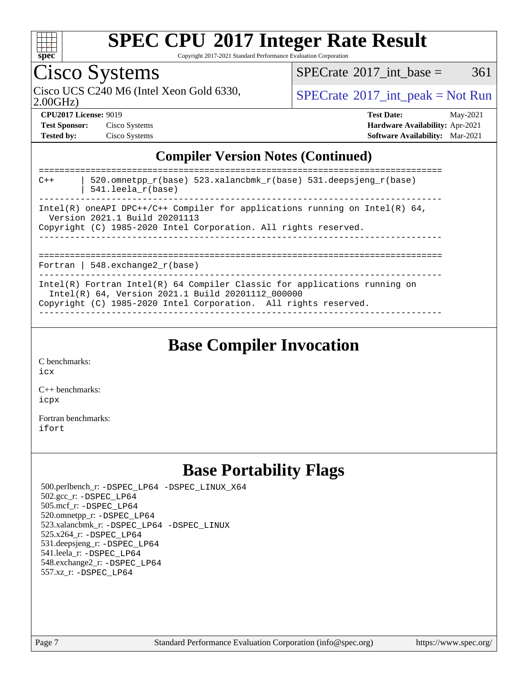

Copyright 2017-2021 Standard Performance Evaluation Corporation

# Cisco Systems

 $SPECTate$ <sup>®</sup>[2017\\_int\\_base =](http://www.spec.org/auto/cpu2017/Docs/result-fields.html#SPECrate2017intbase) 361

2.00GHz)

Cisco UCS C240 M6 (Intel Xeon Gold 6330,  $SPECrate^{\circ}2017\_int\_peak = Not Run$  $SPECrate^{\circ}2017\_int\_peak = Not Run$ 

| <b>Test Sponsor:</b> | Cisco Systems |
|----------------------|---------------|
| <b>Tested by:</b>    | Cisco Systems |

**[CPU2017 License:](http://www.spec.org/auto/cpu2017/Docs/result-fields.html#CPU2017License)** 9019 **[Test Date:](http://www.spec.org/auto/cpu2017/Docs/result-fields.html#TestDate)** May-2021 **Test Systems Systems Systems Systems Systems Systems Systems Systems Systems Systems Systems Systems Systems Systems Systems Systems Systems Systems Systems Systems Systems Systems Systems Systems Systems Systems Systems [Software Availability:](http://www.spec.org/auto/cpu2017/Docs/result-fields.html#SoftwareAvailability)** Mar-2021

## **[Compiler Version Notes \(Continued\)](http://www.spec.org/auto/cpu2017/Docs/result-fields.html#CompilerVersionNotes)**

| $C++$                                                                                                                                                                              | 520.omnetpp $r(base)$ 523.xalancbmk $r(base)$ 531.deepsjeng $r(base)$<br>$541.$ leela $r(base)$                                                                                                     |  |
|------------------------------------------------------------------------------------------------------------------------------------------------------------------------------------|-----------------------------------------------------------------------------------------------------------------------------------------------------------------------------------------------------|--|
| Intel(R) oneAPI DPC++/C++ Compiler for applications running on Intel(R) $64$ ,<br>Version 2021.1 Build 20201113<br>Copyright (C) 1985-2020 Intel Corporation. All rights reserved. |                                                                                                                                                                                                     |  |
|                                                                                                                                                                                    | Fortran   548.exchange2 $r(base)$                                                                                                                                                                   |  |
|                                                                                                                                                                                    | Intel(R) Fortran Intel(R) $64$ Compiler Classic for applications running on<br>Intel(R) 64, Version 2021.1 Build 20201112 000000<br>Copyright (C) 1985-2020 Intel Corporation. All rights reserved. |  |

**[Base Compiler Invocation](http://www.spec.org/auto/cpu2017/Docs/result-fields.html#BaseCompilerInvocation)**

[C benchmarks](http://www.spec.org/auto/cpu2017/Docs/result-fields.html#Cbenchmarks):

[icx](http://www.spec.org/cpu2017/results/res2021q2/cpu2017-20210525-26758.flags.html#user_CCbase_intel_icx_fe2d28d19ae2a5db7c42fe0f2a2aed77cb715edd4aeb23434404a8be6683fe239869bb6ca8154ca98265c2e3b9226a719a0efe2953a4a7018c379b7010ccf087)

[C++ benchmarks:](http://www.spec.org/auto/cpu2017/Docs/result-fields.html#CXXbenchmarks) [icpx](http://www.spec.org/cpu2017/results/res2021q2/cpu2017-20210525-26758.flags.html#user_CXXbase_intel_icpx_1e918ed14c436bf4b9b7c8bcdd51d4539fc71b3df010bd1e9f8732d9c34c2b2914e48204a846820f3c0ebb4095dea797a5c30b458ac0b6dffac65d78f781f5ca)

[Fortran benchmarks](http://www.spec.org/auto/cpu2017/Docs/result-fields.html#Fortranbenchmarks): [ifort](http://www.spec.org/cpu2017/results/res2021q2/cpu2017-20210525-26758.flags.html#user_FCbase_intel_ifort_8111460550e3ca792625aed983ce982f94888b8b503583aa7ba2b8303487b4d8a21a13e7191a45c5fd58ff318f48f9492884d4413fa793fd88dd292cad7027ca)

## **[Base Portability Flags](http://www.spec.org/auto/cpu2017/Docs/result-fields.html#BasePortabilityFlags)**

 500.perlbench\_r: [-DSPEC\\_LP64](http://www.spec.org/cpu2017/results/res2021q2/cpu2017-20210525-26758.flags.html#b500.perlbench_r_basePORTABILITY_DSPEC_LP64) [-DSPEC\\_LINUX\\_X64](http://www.spec.org/cpu2017/results/res2021q2/cpu2017-20210525-26758.flags.html#b500.perlbench_r_baseCPORTABILITY_DSPEC_LINUX_X64) 502.gcc\_r: [-DSPEC\\_LP64](http://www.spec.org/cpu2017/results/res2021q2/cpu2017-20210525-26758.flags.html#suite_basePORTABILITY502_gcc_r_DSPEC_LP64) 505.mcf\_r: [-DSPEC\\_LP64](http://www.spec.org/cpu2017/results/res2021q2/cpu2017-20210525-26758.flags.html#suite_basePORTABILITY505_mcf_r_DSPEC_LP64) 520.omnetpp\_r: [-DSPEC\\_LP64](http://www.spec.org/cpu2017/results/res2021q2/cpu2017-20210525-26758.flags.html#suite_basePORTABILITY520_omnetpp_r_DSPEC_LP64) 523.xalancbmk\_r: [-DSPEC\\_LP64](http://www.spec.org/cpu2017/results/res2021q2/cpu2017-20210525-26758.flags.html#suite_basePORTABILITY523_xalancbmk_r_DSPEC_LP64) [-DSPEC\\_LINUX](http://www.spec.org/cpu2017/results/res2021q2/cpu2017-20210525-26758.flags.html#b523.xalancbmk_r_baseCXXPORTABILITY_DSPEC_LINUX) 525.x264\_r: [-DSPEC\\_LP64](http://www.spec.org/cpu2017/results/res2021q2/cpu2017-20210525-26758.flags.html#suite_basePORTABILITY525_x264_r_DSPEC_LP64) 531.deepsjeng\_r: [-DSPEC\\_LP64](http://www.spec.org/cpu2017/results/res2021q2/cpu2017-20210525-26758.flags.html#suite_basePORTABILITY531_deepsjeng_r_DSPEC_LP64) 541.leela\_r: [-DSPEC\\_LP64](http://www.spec.org/cpu2017/results/res2021q2/cpu2017-20210525-26758.flags.html#suite_basePORTABILITY541_leela_r_DSPEC_LP64) 548.exchange2\_r: [-DSPEC\\_LP64](http://www.spec.org/cpu2017/results/res2021q2/cpu2017-20210525-26758.flags.html#suite_basePORTABILITY548_exchange2_r_DSPEC_LP64) 557.xz\_r: [-DSPEC\\_LP64](http://www.spec.org/cpu2017/results/res2021q2/cpu2017-20210525-26758.flags.html#suite_basePORTABILITY557_xz_r_DSPEC_LP64)